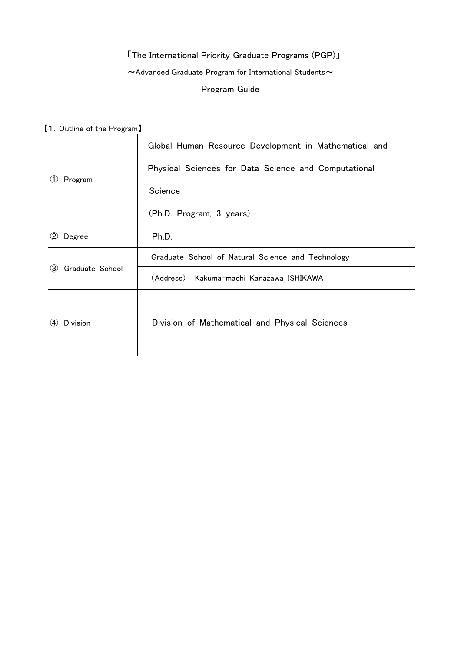# 「The International Priority Graduate Programs (PGP)」  $\sim$  Advanced Graduate Program for International Students $\sim$ Program Guide

【1.Outline of the Program】

| Program<br>(1)              | Global Human Resource Development in Mathematical and |
|-----------------------------|-------------------------------------------------------|
|                             | Physical Sciences for Data Science and Computational  |
|                             | Science                                               |
|                             | (Ph.D. Program, 3 years)                              |
| $\left( 2\right)$<br>Degree | Ph.D.                                                 |
| Graduate School<br>(3)      | Graduate School of Natural Science and Technology     |
|                             | (Address) Kakuma-machi Kanazawa ISHIKAWA              |
| Division<br>$\bf(4)$        | Division of Mathematical and Physical Sciences        |